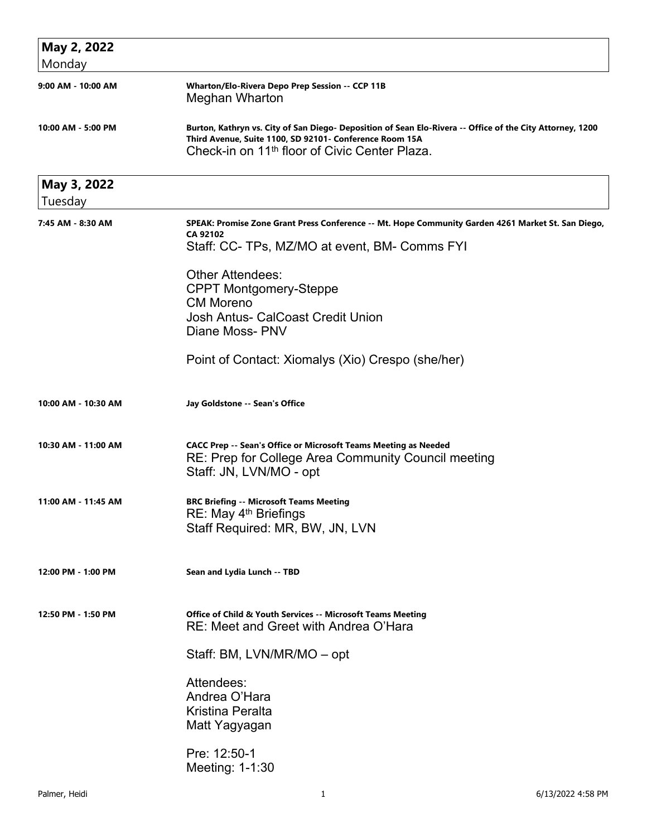| May 2, 2022            |                                                                                                                                                                                                                                   |
|------------------------|-----------------------------------------------------------------------------------------------------------------------------------------------------------------------------------------------------------------------------------|
| Monday                 |                                                                                                                                                                                                                                   |
| 9:00 AM - 10:00 AM     | Wharton/Elo-Rivera Depo Prep Session -- CCP 11B<br>Meghan Wharton                                                                                                                                                                 |
| 10:00 AM - 5:00 PM     | Burton, Kathryn vs. City of San Diego- Deposition of Sean Elo-Rivera -- Office of the City Attorney, 1200<br>Third Avenue, Suite 1100, SD 92101- Conference Room 15A<br>Check-in on 11 <sup>th</sup> floor of Civic Center Plaza. |
| May 3, 2022<br>Tuesday |                                                                                                                                                                                                                                   |
| 7:45 AM - 8:30 AM      | SPEAK: Promise Zone Grant Press Conference -- Mt. Hope Community Garden 4261 Market St. San Diego,<br>CA 92102<br>Staff: CC- TPs, MZ/MO at event, BM- Comms FYI                                                                   |
|                        | <b>Other Attendees:</b><br><b>CPPT Montgomery-Steppe</b><br><b>CM Moreno</b><br><b>Josh Antus- CalCoast Credit Union</b><br>Diane Moss- PNV                                                                                       |
|                        | Point of Contact: Xiomalys (Xio) Crespo (she/her)                                                                                                                                                                                 |
| 10:00 AM - 10:30 AM    | Jay Goldstone -- Sean's Office                                                                                                                                                                                                    |
| 10:30 AM - 11:00 AM    | <b>CACC Prep -- Sean's Office or Microsoft Teams Meeting as Needed</b><br>RE: Prep for College Area Community Council meeting<br>Staff: JN, LVN/MO - opt                                                                          |
| 11:00 AM - 11:45 AM    | <b>BRC Briefing -- Microsoft Teams Meeting</b><br>RE: May 4 <sup>th</sup> Briefings<br>Staff Required: MR, BW, JN, LVN                                                                                                            |
| 12:00 PM - 1:00 PM     | Sean and Lydia Lunch -- TBD                                                                                                                                                                                                       |
| 12:50 PM - 1:50 PM     | Office of Child & Youth Services -- Microsoft Teams Meeting<br>RE: Meet and Greet with Andrea O'Hara                                                                                                                              |
|                        | Staff: BM, LVN/MR/MO - opt                                                                                                                                                                                                        |
|                        | Attendees:<br>Andrea O'Hara<br><b>Kristina Peralta</b><br>Matt Yagyagan                                                                                                                                                           |
|                        | Pre: 12:50-1<br>Meeting: 1-1:30                                                                                                                                                                                                   |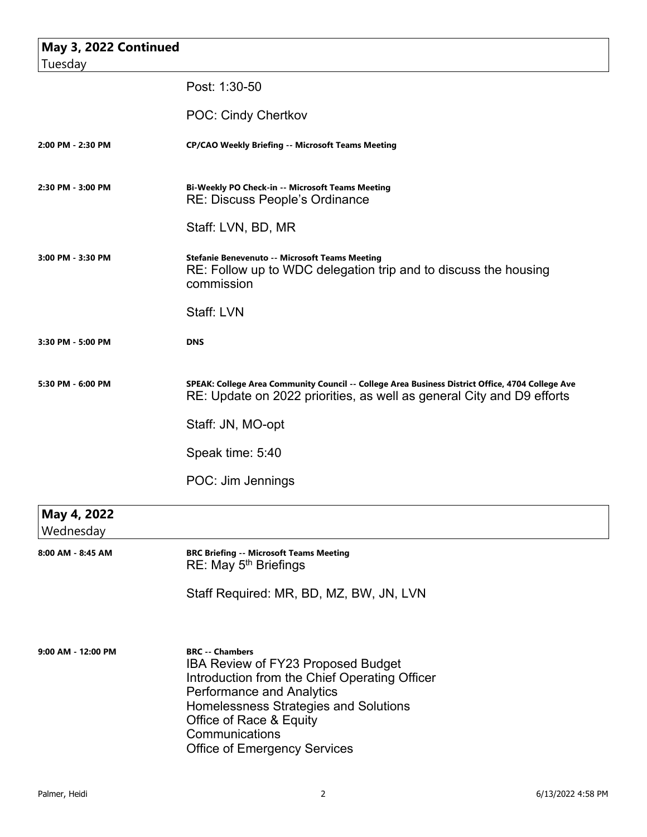| May 3, 2022 Continued<br>Tuesday |                                                                                                                                                                                                                                                                                       |
|----------------------------------|---------------------------------------------------------------------------------------------------------------------------------------------------------------------------------------------------------------------------------------------------------------------------------------|
|                                  | Post: 1:30-50                                                                                                                                                                                                                                                                         |
|                                  | POC: Cindy Chertkov                                                                                                                                                                                                                                                                   |
| 2:00 PM - 2:30 PM                | <b>CP/CAO Weekly Briefing -- Microsoft Teams Meeting</b>                                                                                                                                                                                                                              |
| 2:30 PM - 3:00 PM                | Bi-Weekly PO Check-in -- Microsoft Teams Meeting<br>RE: Discuss People's Ordinance                                                                                                                                                                                                    |
|                                  | Staff: LVN, BD, MR                                                                                                                                                                                                                                                                    |
| 3:00 PM - 3:30 PM                | <b>Stefanie Benevenuto -- Microsoft Teams Meeting</b><br>RE: Follow up to WDC delegation trip and to discuss the housing<br>commission                                                                                                                                                |
|                                  | Staff: LVN                                                                                                                                                                                                                                                                            |
| 3:30 PM - 5:00 PM                | <b>DNS</b>                                                                                                                                                                                                                                                                            |
| 5:30 PM - 6:00 PM                | SPEAK: College Area Community Council -- College Area Business District Office, 4704 College Ave<br>RE: Update on 2022 priorities, as well as general City and D9 efforts                                                                                                             |
|                                  | Staff: JN, MO-opt                                                                                                                                                                                                                                                                     |
|                                  | Speak time: 5:40                                                                                                                                                                                                                                                                      |
|                                  | POC: Jim Jennings                                                                                                                                                                                                                                                                     |
| May 4, 2022<br>Wednesday         |                                                                                                                                                                                                                                                                                       |
| 8:00 AM - 8:45 AM                | <b>BRC Briefing -- Microsoft Teams Meeting</b><br>RE: May 5 <sup>th</sup> Briefings                                                                                                                                                                                                   |
|                                  | Staff Required: MR, BD, MZ, BW, JN, LVN                                                                                                                                                                                                                                               |
| 9:00 AM - 12:00 PM               | <b>BRC</b> -- Chambers<br><b>IBA Review of FY23 Proposed Budget</b><br>Introduction from the Chief Operating Officer<br><b>Performance and Analytics</b><br>Homelessness Strategies and Solutions<br>Office of Race & Equity<br>Communications<br><b>Office of Emergency Services</b> |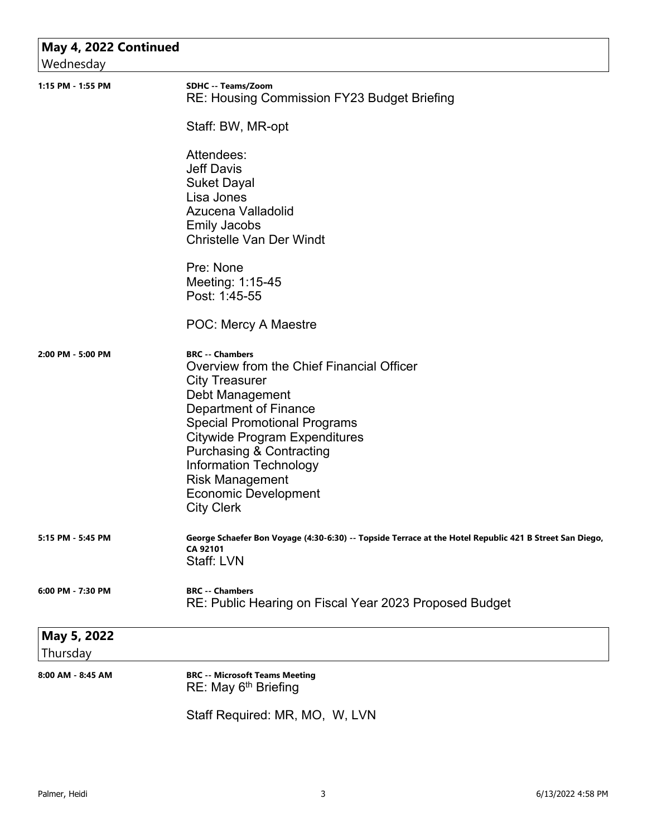| May 4, 2022 Continued |                                                                                                                     |
|-----------------------|---------------------------------------------------------------------------------------------------------------------|
| Wednesday             |                                                                                                                     |
| 1:15 PM - 1:55 PM     | SDHC -- Teams/Zoom<br>RE: Housing Commission FY23 Budget Briefing                                                   |
|                       | Staff: BW, MR-opt                                                                                                   |
|                       | Attendees:                                                                                                          |
|                       | <b>Jeff Davis</b>                                                                                                   |
|                       | <b>Suket Dayal</b>                                                                                                  |
|                       | Lisa Jones<br>Azucena Valladolid                                                                                    |
|                       | <b>Emily Jacobs</b>                                                                                                 |
|                       | <b>Christelle Van Der Windt</b>                                                                                     |
|                       | Pre: None                                                                                                           |
|                       | Meeting: 1:15-45                                                                                                    |
|                       | Post: 1:45-55                                                                                                       |
|                       | POC: Mercy A Maestre                                                                                                |
| 2:00 PM - 5:00 PM     | <b>BRC -- Chambers</b>                                                                                              |
|                       | Overview from the Chief Financial Officer                                                                           |
|                       | <b>City Treasurer</b><br>Debt Management                                                                            |
|                       | Department of Finance                                                                                               |
|                       | <b>Special Promotional Programs</b>                                                                                 |
|                       | <b>Citywide Program Expenditures</b>                                                                                |
|                       | <b>Purchasing &amp; Contracting</b>                                                                                 |
|                       | <b>Information Technology</b>                                                                                       |
|                       | <b>Risk Management</b>                                                                                              |
|                       | <b>Economic Development</b><br><b>City Clerk</b>                                                                    |
|                       |                                                                                                                     |
| 5:15 PM - 5:45 PM     | George Schaefer Bon Voyage (4:30-6:30) -- Topside Terrace at the Hotel Republic 421 B Street San Diego,<br>CA 92101 |
|                       | Staff: LVN                                                                                                          |
| 6:00 PM - 7:30 PM     | <b>BRC</b> -- Chambers                                                                                              |
|                       | RE: Public Hearing on Fiscal Year 2023 Proposed Budget                                                              |
| May 5, 2022           |                                                                                                                     |
| Thursday              |                                                                                                                     |
| 8:00 AM - 8:45 AM     | <b>BRC -- Microsoft Teams Meeting</b><br>RE: May 6 <sup>th</sup> Briefing                                           |
|                       | Staff Required: MR, MO, W, LVN                                                                                      |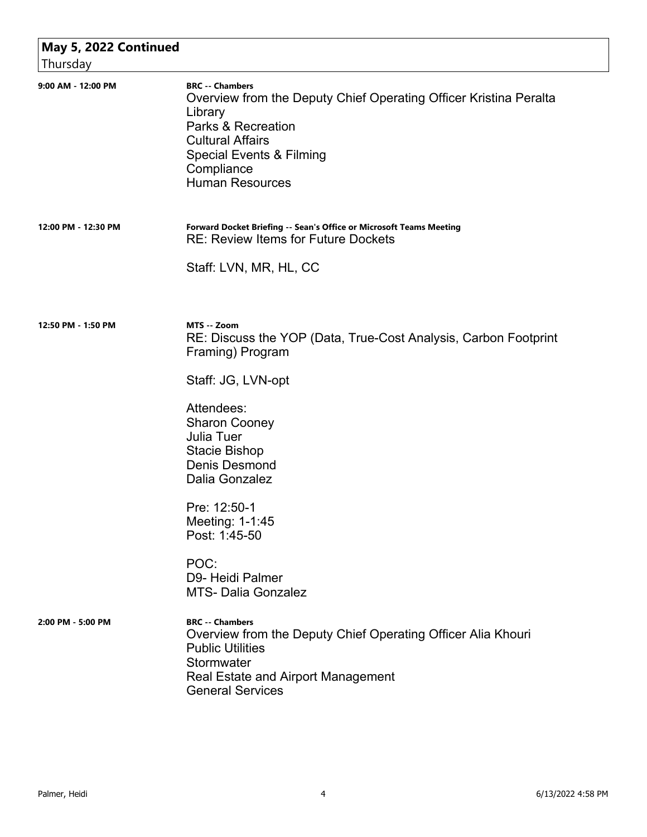| May 5, 2022 Continued<br>Thursday |                                                                                                                                                                                                                                        |
|-----------------------------------|----------------------------------------------------------------------------------------------------------------------------------------------------------------------------------------------------------------------------------------|
| 9:00 AM - 12:00 PM                | <b>BRC -- Chambers</b><br>Overview from the Deputy Chief Operating Officer Kristina Peralta<br>Library<br><b>Parks &amp; Recreation</b><br><b>Cultural Affairs</b><br>Special Events & Filming<br>Compliance<br><b>Human Resources</b> |
| 12:00 PM - 12:30 PM               | Forward Docket Briefing -- Sean's Office or Microsoft Teams Meeting<br><b>RE: Review Items for Future Dockets</b>                                                                                                                      |
|                                   | Staff: LVN, MR, HL, CC                                                                                                                                                                                                                 |
| 12:50 PM - 1:50 PM                | MTS -- Zoom<br>RE: Discuss the YOP (Data, True-Cost Analysis, Carbon Footprint<br>Framing) Program                                                                                                                                     |
|                                   | Staff: JG, LVN-opt                                                                                                                                                                                                                     |
|                                   | Attendees:<br><b>Sharon Cooney</b><br><b>Julia Tuer</b><br><b>Stacie Bishop</b><br><b>Denis Desmond</b><br>Dalia Gonzalez                                                                                                              |
|                                   | Pre: 12:50-1<br>Meeting: 1-1:45<br>Post: 1:45-50                                                                                                                                                                                       |
|                                   | POC:<br>D9- Heidi Palmer<br><b>MTS- Dalia Gonzalez</b>                                                                                                                                                                                 |
| 2:00 PM - 5:00 PM                 | <b>BRC</b> -- Chambers<br>Overview from the Deputy Chief Operating Officer Alia Khouri<br><b>Public Utilities</b><br>Stormwater<br><b>Real Estate and Airport Management</b><br><b>General Services</b>                                |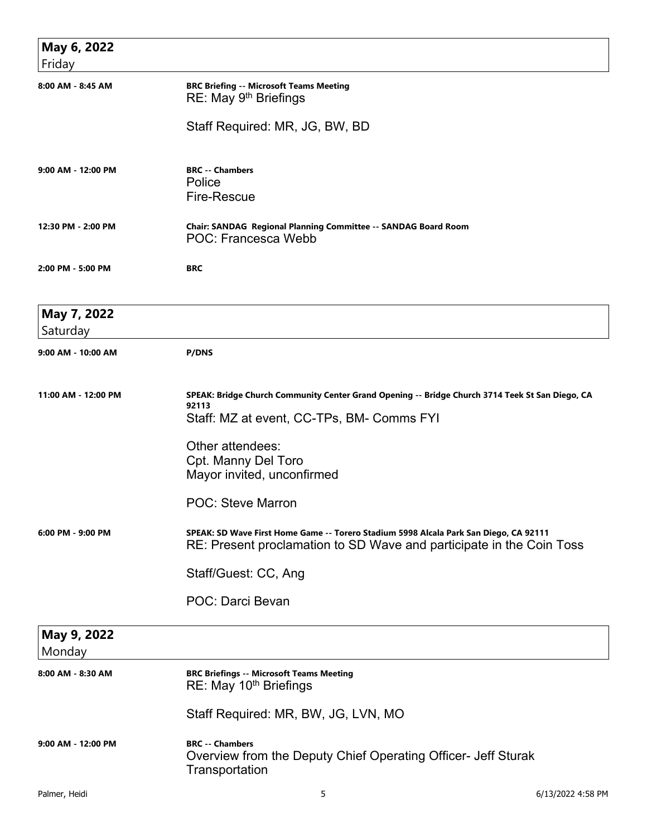| May 6, 2022<br>Friday   |                                                                                                                                                                                                                                |
|-------------------------|--------------------------------------------------------------------------------------------------------------------------------------------------------------------------------------------------------------------------------|
| 8:00 AM - 8:45 AM       | <b>BRC Briefing -- Microsoft Teams Meeting</b><br>RE: May 9 <sup>th</sup> Briefings                                                                                                                                            |
|                         | Staff Required: MR, JG, BW, BD                                                                                                                                                                                                 |
| 9:00 AM - 12:00 PM      | <b>BRC -- Chambers</b><br>Police<br><b>Fire-Rescue</b>                                                                                                                                                                         |
| 12:30 PM - 2:00 PM      | Chair: SANDAG Regional Planning Committee -- SANDAG Board Room<br>POC: Francesca Webb                                                                                                                                          |
| 2:00 PM - 5:00 PM       | <b>BRC</b>                                                                                                                                                                                                                     |
| May 7, 2022<br>Saturday |                                                                                                                                                                                                                                |
| 9:00 AM - 10:00 AM      | <b>P/DNS</b>                                                                                                                                                                                                                   |
| 11:00 AM - 12:00 PM     | SPEAK: Bridge Church Community Center Grand Opening -- Bridge Church 3714 Teek St San Diego, CA<br>92113<br>Staff: MZ at event, CC-TPs, BM- Comms FYI<br>Other attendees:<br>Cpt. Manny Del Toro<br>Mayor invited, unconfirmed |
|                         | <b>POC: Steve Marron</b>                                                                                                                                                                                                       |
| 6:00 PM - 9:00 PM       | SPEAK: SD Wave First Home Game -- Torero Stadium 5998 Alcala Park San Diego, CA 92111<br>RE: Present proclamation to SD Wave and participate in the Coin Toss                                                                  |
|                         | Staff/Guest: CC, Ang                                                                                                                                                                                                           |
|                         | POC: Darci Bevan                                                                                                                                                                                                               |
| May 9, 2022<br>Monday   |                                                                                                                                                                                                                                |
| 8:00 AM - 8:30 AM       | <b>BRC Briefings -- Microsoft Teams Meeting</b><br>RE: May 10 <sup>th</sup> Briefings                                                                                                                                          |
|                         | Staff Required: MR, BW, JG, LVN, MO                                                                                                                                                                                            |
| 9:00 AM - 12:00 PM      | <b>BRC -- Chambers</b><br>Overview from the Deputy Chief Operating Officer- Jeff Sturak<br>Transportation                                                                                                                      |
| Palmer, Heidi           | 5<br>6/13/2022 4:58 PM                                                                                                                                                                                                         |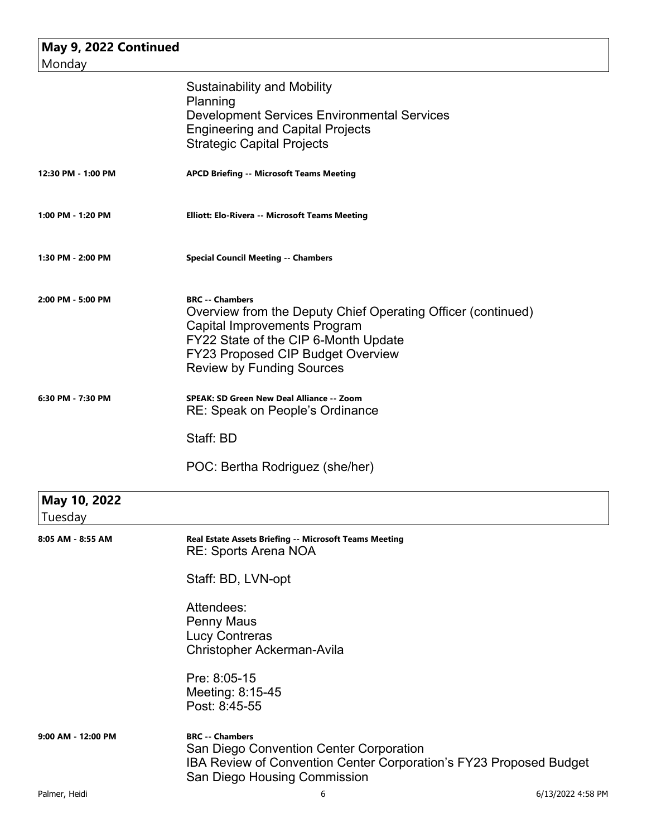| May 9, 2022 Continued<br>Monday |                                                                                                                                                                                                                                                |
|---------------------------------|------------------------------------------------------------------------------------------------------------------------------------------------------------------------------------------------------------------------------------------------|
|                                 | <b>Sustainability and Mobility</b><br>Planning<br><b>Development Services Environmental Services</b><br><b>Engineering and Capital Projects</b><br><b>Strategic Capital Projects</b>                                                           |
| 12:30 PM - 1:00 PM              | <b>APCD Briefing -- Microsoft Teams Meeting</b>                                                                                                                                                                                                |
| 1:00 PM - 1:20 PM               | <b>Elliott: Elo-Rivera -- Microsoft Teams Meeting</b>                                                                                                                                                                                          |
| 1:30 PM - 2:00 PM               | <b>Special Council Meeting -- Chambers</b>                                                                                                                                                                                                     |
| 2:00 PM - 5:00 PM               | <b>BRC</b> -- Chambers<br>Overview from the Deputy Chief Operating Officer (continued)<br><b>Capital Improvements Program</b><br>FY22 State of the CIP 6-Month Update<br>FY23 Proposed CIP Budget Overview<br><b>Review by Funding Sources</b> |
| 6:30 PM - 7:30 PM               | <b>SPEAK: SD Green New Deal Alliance -- Zoom</b><br>RE: Speak on People's Ordinance                                                                                                                                                            |
|                                 | Staff: BD                                                                                                                                                                                                                                      |
|                                 | POC: Bertha Rodriguez (she/her)                                                                                                                                                                                                                |
| May 10, 2022<br>Tuesday         |                                                                                                                                                                                                                                                |
| 8:05 AM - 8:55 AM               | Real Estate Assets Briefing -- Microsoft Teams Meeting<br><b>RE: Sports Arena NOA</b>                                                                                                                                                          |
|                                 | Staff: BD, LVN-opt                                                                                                                                                                                                                             |
|                                 | Attendees:<br><b>Penny Maus</b><br><b>Lucy Contreras</b><br>Christopher Ackerman-Avila                                                                                                                                                         |
|                                 | Pre: 8:05-15<br>Meeting: 8:15-45<br>Post: 8:45-55                                                                                                                                                                                              |
| 9:00 AM - 12:00 PM              | <b>BRC -- Chambers</b><br>San Diego Convention Center Corporation<br>IBA Review of Convention Center Corporation's FY23 Proposed Budget<br>San Diego Housing Commission                                                                        |
| Palmer, Heidi                   | 6<br>6/13/2022 4:58 PM                                                                                                                                                                                                                         |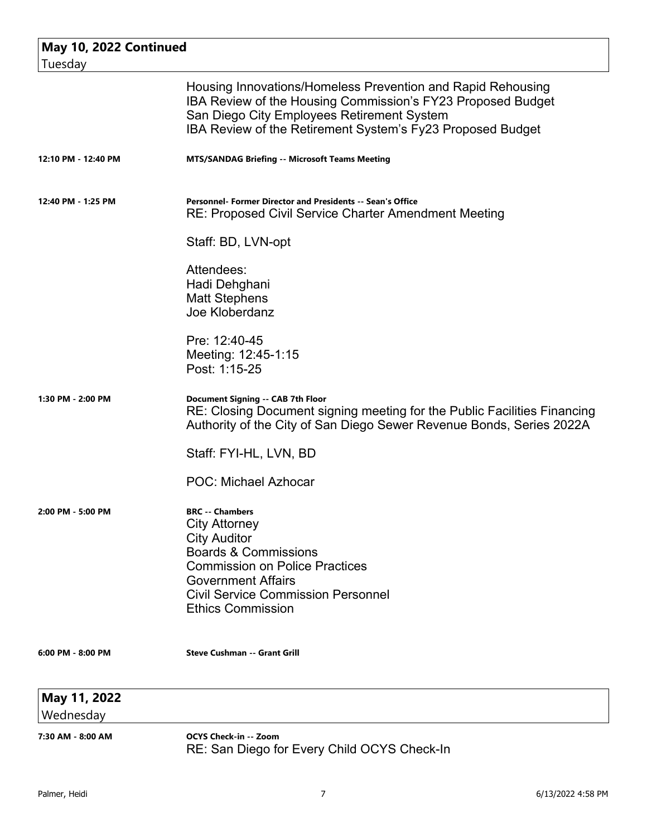| May 10, 2022 Continued    |                                                                                                                                                                                                                                                         |
|---------------------------|---------------------------------------------------------------------------------------------------------------------------------------------------------------------------------------------------------------------------------------------------------|
| Tuesday                   |                                                                                                                                                                                                                                                         |
|                           | Housing Innovations/Homeless Prevention and Rapid Rehousing<br>IBA Review of the Housing Commission's FY23 Proposed Budget<br>San Diego City Employees Retirement System<br>IBA Review of the Retirement System's Fy23 Proposed Budget                  |
| 12:10 PM - 12:40 PM       | <b>MTS/SANDAG Briefing -- Microsoft Teams Meeting</b>                                                                                                                                                                                                   |
| 12:40 PM - 1:25 PM        | Personnel- Former Director and Presidents -- Sean's Office<br><b>RE: Proposed Civil Service Charter Amendment Meeting</b>                                                                                                                               |
|                           | Staff: BD, LVN-opt                                                                                                                                                                                                                                      |
|                           | Attendees:<br>Hadi Dehghani<br><b>Matt Stephens</b><br>Joe Kloberdanz                                                                                                                                                                                   |
|                           | Pre: 12:40-45<br>Meeting: 12:45-1:15<br>Post: 1:15-25                                                                                                                                                                                                   |
| 1:30 PM - 2:00 PM         | Document Signing -- CAB 7th Floor<br>RE: Closing Document signing meeting for the Public Facilities Financing<br>Authority of the City of San Diego Sewer Revenue Bonds, Series 2022A<br>Staff: FYI-HL, LVN, BD                                         |
|                           | <b>POC: Michael Azhocar</b>                                                                                                                                                                                                                             |
| 2:00 PM - 5:00 PM         | <b>BRC</b> -- Chambers<br><b>City Attorney</b><br><b>City Auditor</b><br><b>Boards &amp; Commissions</b><br><b>Commission on Police Practices</b><br><b>Government Affairs</b><br><b>Civil Service Commission Personnel</b><br><b>Ethics Commission</b> |
| 6:00 PM - 8:00 PM         | <b>Steve Cushman -- Grant Grill</b>                                                                                                                                                                                                                     |
| May 11, 2022<br>Wednesday |                                                                                                                                                                                                                                                         |
| 7:30 AM - 8:00 AM         | <b>OCYS Check-in -- Zoom</b><br>RE: San Diego for Every Child OCYS Check-In                                                                                                                                                                             |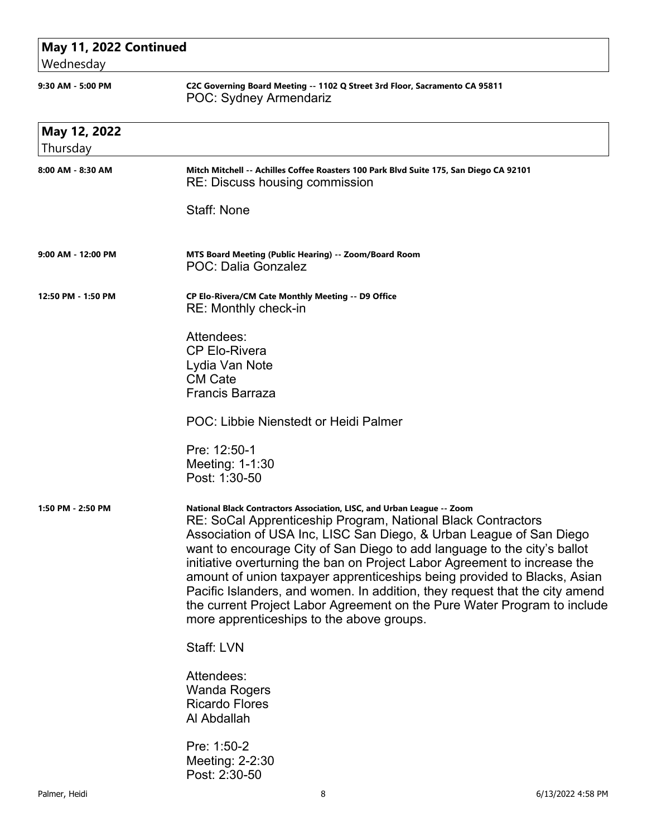| May 11, 2022 Continued<br>Wednesday |                                                                                                                                                                                                                                                                                                                                                                                                                                                                                                                                                                                                                                                            |
|-------------------------------------|------------------------------------------------------------------------------------------------------------------------------------------------------------------------------------------------------------------------------------------------------------------------------------------------------------------------------------------------------------------------------------------------------------------------------------------------------------------------------------------------------------------------------------------------------------------------------------------------------------------------------------------------------------|
| 9:30 AM - 5:00 PM                   | C2C Governing Board Meeting -- 1102 Q Street 3rd Floor, Sacramento CA 95811<br><b>POC: Sydney Armendariz</b>                                                                                                                                                                                                                                                                                                                                                                                                                                                                                                                                               |
| May 12, 2022                        |                                                                                                                                                                                                                                                                                                                                                                                                                                                                                                                                                                                                                                                            |
| Thursday                            |                                                                                                                                                                                                                                                                                                                                                                                                                                                                                                                                                                                                                                                            |
| 8:00 AM - 8:30 AM                   | Mitch Mitchell -- Achilles Coffee Roasters 100 Park Blvd Suite 175, San Diego CA 92101<br>RE: Discuss housing commission                                                                                                                                                                                                                                                                                                                                                                                                                                                                                                                                   |
|                                     | Staff: None                                                                                                                                                                                                                                                                                                                                                                                                                                                                                                                                                                                                                                                |
| 9:00 AM - 12:00 PM                  | MTS Board Meeting (Public Hearing) -- Zoom/Board Room<br>POC: Dalia Gonzalez                                                                                                                                                                                                                                                                                                                                                                                                                                                                                                                                                                               |
| 12:50 PM - 1:50 PM                  | CP Elo-Rivera/CM Cate Monthly Meeting -- D9 Office<br>RE: Monthly check-in                                                                                                                                                                                                                                                                                                                                                                                                                                                                                                                                                                                 |
|                                     | Attendees:<br><b>CP Elo-Rivera</b><br>Lydia Van Note<br><b>CM Cate</b><br><b>Francis Barraza</b>                                                                                                                                                                                                                                                                                                                                                                                                                                                                                                                                                           |
|                                     | POC: Libbie Nienstedt or Heidi Palmer                                                                                                                                                                                                                                                                                                                                                                                                                                                                                                                                                                                                                      |
|                                     | Pre: 12:50-1<br>Meeting: 1-1:30<br>Post: 1:30-50                                                                                                                                                                                                                                                                                                                                                                                                                                                                                                                                                                                                           |
| 1:50 PM - 2:50 PM                   | National Black Contractors Association, LISC, and Urban League -- Zoom<br>RE: SoCal Apprenticeship Program, National Black Contractors<br>Association of USA Inc, LISC San Diego, & Urban League of San Diego<br>want to encourage City of San Diego to add language to the city's ballot<br>initiative overturning the ban on Project Labor Agreement to increase the<br>amount of union taxpayer apprenticeships being provided to Blacks, Asian<br>Pacific Islanders, and women. In addition, they request that the city amend<br>the current Project Labor Agreement on the Pure Water Program to include<br>more apprenticeships to the above groups. |
|                                     | Staff: LVN                                                                                                                                                                                                                                                                                                                                                                                                                                                                                                                                                                                                                                                 |
|                                     | Attendees:<br><b>Wanda Rogers</b><br><b>Ricardo Flores</b><br>Al Abdallah                                                                                                                                                                                                                                                                                                                                                                                                                                                                                                                                                                                  |
|                                     | Pre: 1:50-2<br>Meeting: 2-2:30<br>Post: 2:30-50                                                                                                                                                                                                                                                                                                                                                                                                                                                                                                                                                                                                            |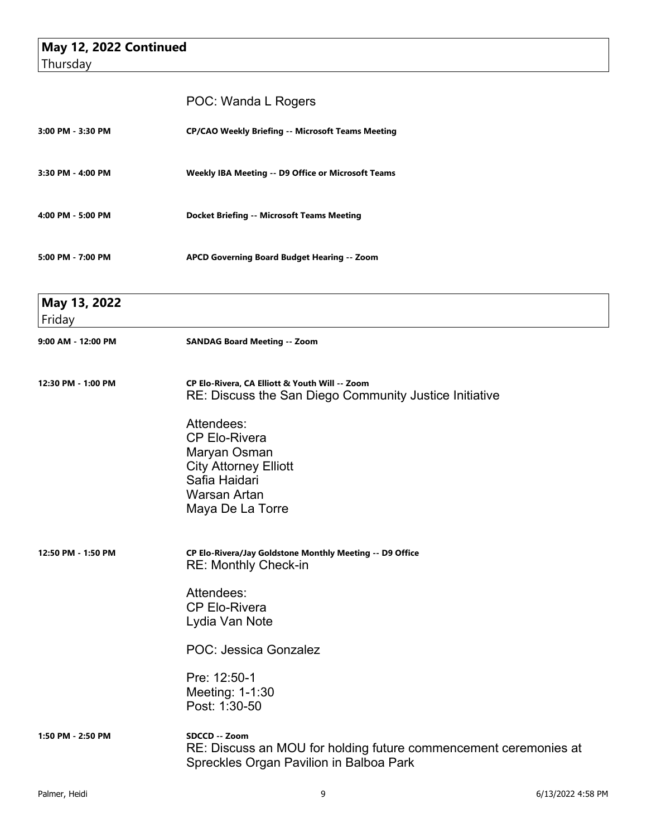|                        | POC: Wanda L Rogers                                                                                                          |
|------------------------|------------------------------------------------------------------------------------------------------------------------------|
| 3:00 PM - 3:30 PM      | <b>CP/CAO Weekly Briefing -- Microsoft Teams Meeting</b>                                                                     |
| 3:30 PM - 4:00 PM      | <b>Weekly IBA Meeting -- D9 Office or Microsoft Teams</b>                                                                    |
| 4:00 PM - 5:00 PM      | <b>Docket Briefing -- Microsoft Teams Meeting</b>                                                                            |
| 5:00 PM - 7:00 PM      | APCD Governing Board Budget Hearing -- Zoom                                                                                  |
| May 13, 2022<br>Friday | the control of the control of the control of the control of the control of                                                   |
| 9:00 AM - 12:00 PM     | <b>SANDAG Board Meeting -- Zoom</b>                                                                                          |
| 12:30 PM - 1:00 PM     | CP Elo-Rivera, CA Elliott & Youth Will -- Zoom<br>RE: Discuss the San Diego Community Justice Initiative                     |
|                        | Attendees:<br><b>CP Elo-Rivera</b>                                                                                           |
|                        | Maryan Osman                                                                                                                 |
|                        | <b>City Attorney Elliott</b><br>Safia Haidari                                                                                |
|                        | Warsan Artan<br>Maya De La Torre                                                                                             |
| 12:50 PM - 1:50 PM     | CP Elo-Rivera/Jay Goldstone Monthly Meeting -- D9 Office<br><b>RE: Monthly Check-in</b>                                      |
|                        | Attendees:<br><b>CP Elo-Rivera</b>                                                                                           |
|                        | Lydia Van Note                                                                                                               |
|                        | POC: Jessica Gonzalez                                                                                                        |
|                        | Pre: 12:50-1<br>Meeting: 1-1:30<br>Post: 1:30-50                                                                             |
| 1:50 PM - 2:50 PM      | SDCCD -- Zoom<br>RE: Discuss an MOU for holding future commencement ceremonies at<br>Spreckles Organ Pavilion in Balboa Park |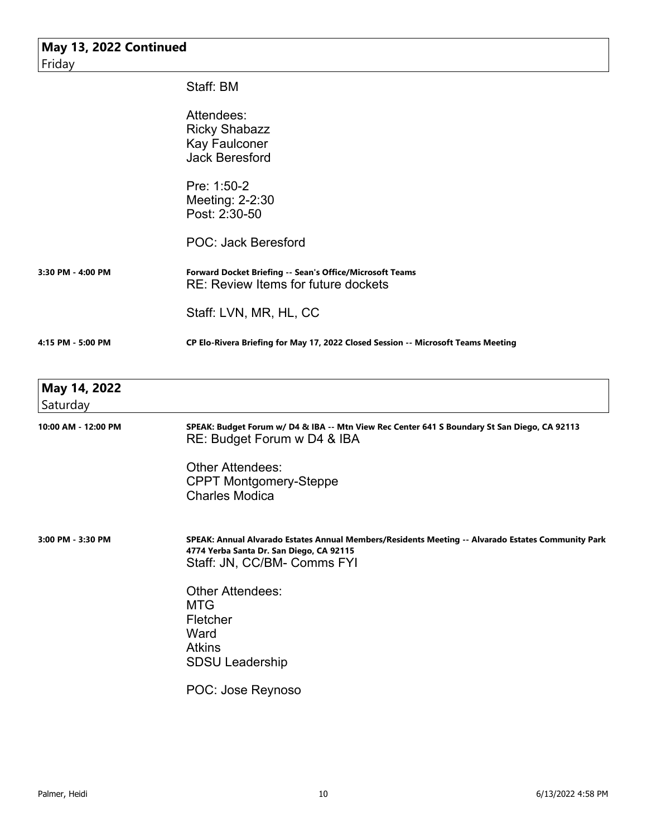| May 13, 2022 Continued<br>Friday |                                                                                                                                                                               |
|----------------------------------|-------------------------------------------------------------------------------------------------------------------------------------------------------------------------------|
|                                  | Staff: BM                                                                                                                                                                     |
|                                  | Attendees:<br><b>Ricky Shabazz</b><br><b>Kay Faulconer</b><br><b>Jack Beresford</b>                                                                                           |
|                                  | Pre: 1:50-2<br>Meeting: 2-2:30<br>Post: 2:30-50                                                                                                                               |
|                                  | <b>POC: Jack Beresford</b>                                                                                                                                                    |
| 3:30 PM - 4:00 PM                | Forward Docket Briefing -- Sean's Office/Microsoft Teams<br><b>RE: Review Items for future dockets</b>                                                                        |
|                                  | Staff: LVN, MR, HL, CC                                                                                                                                                        |
| 4:15 PM - 5:00 PM                | CP Elo-Rivera Briefing for May 17, 2022 Closed Session -- Microsoft Teams Meeting                                                                                             |
| May 14, 2022<br>Saturday         |                                                                                                                                                                               |
| 10:00 AM - 12:00 PM              | SPEAK: Budget Forum w/ D4 & IBA -- Mtn View Rec Center 641 S Boundary St San Diego, CA 92113<br>RE: Budget Forum w D4 & IBA                                                   |
|                                  | <b>Other Attendees:</b><br><b>CPPT Montgomery-Steppe</b><br><b>Charles Modica</b>                                                                                             |
| 3:00 PM - 3:30 PM                | SPEAK: Annual Alvarado Estates Annual Members/Residents Meeting -- Alvarado Estates Community Park<br>4774 Yerba Santa Dr. San Diego, CA 92115<br>Staff: JN, CC/BM- Comms FYI |
|                                  | <b>Other Attendees:</b><br><b>MTG</b><br>Fletcher<br>Ward<br><b>Atkins</b><br>SDSU Leadership                                                                                 |

POC: Jose Reynoso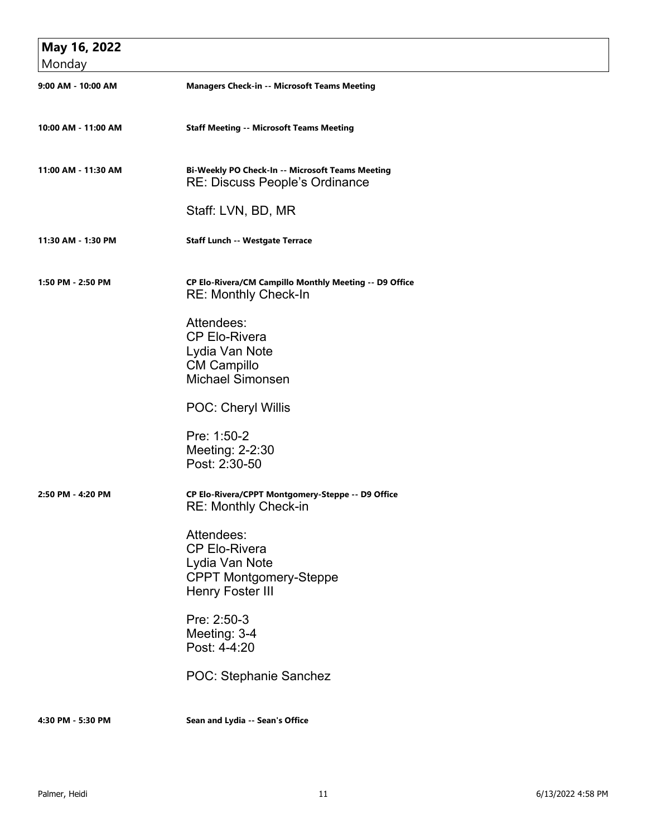| May 16, 2022        |                                                                                                                                                                                    |
|---------------------|------------------------------------------------------------------------------------------------------------------------------------------------------------------------------------|
| Monday              |                                                                                                                                                                                    |
| 9:00 AM - 10:00 AM  | <b>Managers Check-in -- Microsoft Teams Meeting</b>                                                                                                                                |
| 10:00 AM - 11:00 AM | <b>Staff Meeting -- Microsoft Teams Meeting</b>                                                                                                                                    |
| 11:00 AM - 11:30 AM | Bi-Weekly PO Check-In -- Microsoft Teams Meeting<br><b>RE: Discuss People's Ordinance</b>                                                                                          |
|                     | Staff: LVN, BD, MR                                                                                                                                                                 |
| 11:30 AM - 1:30 PM  | <b>Staff Lunch -- Westgate Terrace</b>                                                                                                                                             |
| 1:50 PM - 2:50 PM   | CP Elo-Rivera/CM Campillo Monthly Meeting -- D9 Office<br><b>RE: Monthly Check-In</b>                                                                                              |
|                     | Attendees:<br><b>CP Elo-Rivera</b><br>Lydia Van Note<br><b>CM Campillo</b><br><b>Michael Simonsen</b>                                                                              |
|                     | POC: Cheryl Willis                                                                                                                                                                 |
|                     | Pre: 1:50-2<br>Meeting: 2-2:30<br>Post: 2:30-50                                                                                                                                    |
| 2:50 PM - 4:20 PM   | CP Elo-Rivera/CPPT Montgomery-Steppe -- D9 Office<br>RE: Monthly Check-in                                                                                                          |
|                     | Attendees:<br><b>CP Elo-Rivera</b><br>Lydia Van Note<br><b>CPPT Montgomery-Steppe</b><br>Henry Foster III<br>Pre: 2:50-3<br>Meeting: 3-4<br>Post: 4-4:20<br>POC: Stephanie Sanchez |
| 4:30 PM - 5:30 PM   | Sean and Lydia -- Sean's Office                                                                                                                                                    |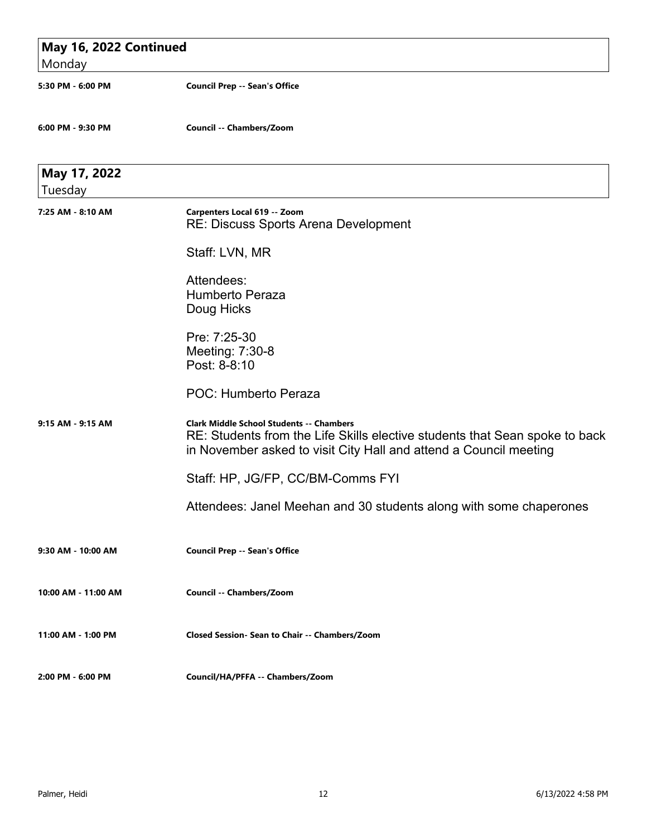|                     | May 16, 2022 Continued                                                      |  |
|---------------------|-----------------------------------------------------------------------------|--|
| Monday              |                                                                             |  |
| 5:30 PM - 6:00 PM   | <b>Council Prep -- Sean's Office</b>                                        |  |
| 6:00 PM - 9:30 PM   | Council -- Chambers/Zoom                                                    |  |
| May 17, 2022        |                                                                             |  |
| Tuesday             |                                                                             |  |
| 7:25 AM - 8:10 AM   | Carpenters Local 619 -- Zoom<br>RE: Discuss Sports Arena Development        |  |
|                     | Staff: LVN, MR                                                              |  |
|                     | Attendees:                                                                  |  |
|                     | <b>Humberto Peraza</b>                                                      |  |
|                     | Doug Hicks                                                                  |  |
|                     | Pre: 7:25-30                                                                |  |
|                     | Meeting: 7:30-8                                                             |  |
|                     | Post: 8-8:10                                                                |  |
|                     | POC: Humberto Peraza                                                        |  |
| 9:15 AM - 9:15 AM   | <b>Clark Middle School Students -- Chambers</b>                             |  |
|                     | RE: Students from the Life Skills elective students that Sean spoke to back |  |
|                     | in November asked to visit City Hall and attend a Council meeting           |  |
|                     | Staff: HP, JG/FP, CC/BM-Comms FYI                                           |  |
|                     | Attendees: Janel Meehan and 30 students along with some chaperones          |  |
|                     |                                                                             |  |
| 9:30 AM - 10:00 AM  | <b>Council Prep -- Sean's Office</b>                                        |  |
|                     |                                                                             |  |
| 10:00 AM - 11:00 AM | Council -- Chambers/Zoom                                                    |  |
|                     |                                                                             |  |
| 11:00 AM - 1:00 PM  | Closed Session- Sean to Chair -- Chambers/Zoom                              |  |
|                     |                                                                             |  |
| 2:00 PM - 6:00 PM   | Council/HA/PFFA -- Chambers/Zoom                                            |  |
|                     |                                                                             |  |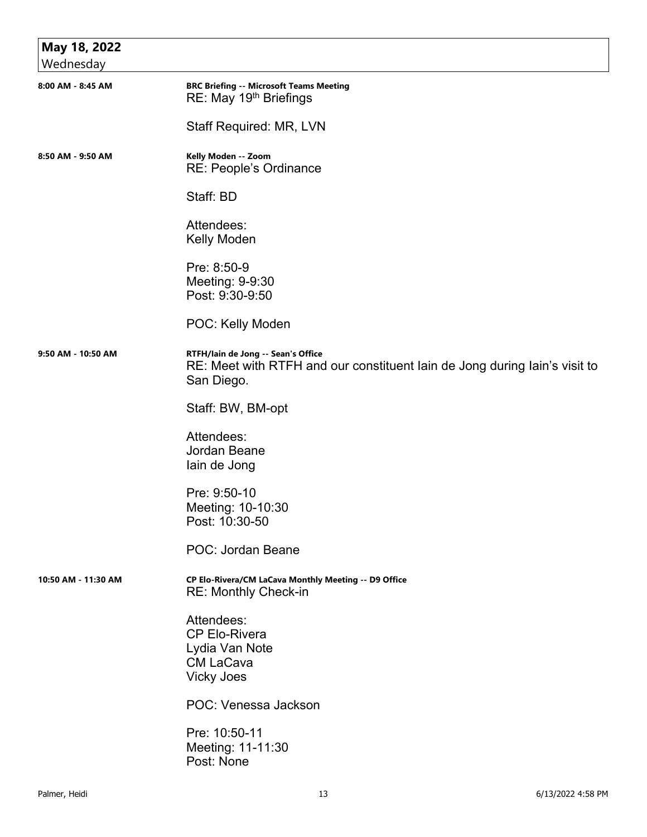| May 18, 2022        |                                                                                                                                |
|---------------------|--------------------------------------------------------------------------------------------------------------------------------|
| Wednesday           |                                                                                                                                |
| 8:00 AM - 8:45 AM   | <b>BRC Briefing -- Microsoft Teams Meeting</b><br>RE: May 19 <sup>th</sup> Briefings                                           |
|                     | Staff Required: MR, LVN                                                                                                        |
| 8:50 AM - 9:50 AM   | Kelly Moden -- Zoom<br>RE: People's Ordinance                                                                                  |
|                     | Staff: BD                                                                                                                      |
|                     | Attendees:<br>Kelly Moden                                                                                                      |
|                     | Pre: 8:50-9<br>Meeting: 9-9:30<br>Post: 9:30-9:50                                                                              |
|                     | POC: Kelly Moden                                                                                                               |
| 9:50 AM - 10:50 AM  | RTFH/lain de Jong -- Sean's Office<br>RE: Meet with RTFH and our constituent lain de Jong during lain's visit to<br>San Diego. |
|                     | Staff: BW, BM-opt                                                                                                              |
|                     | Attendees:<br>Jordan Beane<br>lain de Jong                                                                                     |
|                     | Pre: 9:50-10<br>Meeting: 10-10:30<br>Post: 10:30-50                                                                            |
|                     | POC: Jordan Beane                                                                                                              |
| 10:50 AM - 11:30 AM | CP Elo-Rivera/CM LaCava Monthly Meeting -- D9 Office<br><b>RE: Monthly Check-in</b>                                            |
|                     | Attendees:<br><b>CP Elo-Rivera</b><br>Lydia Van Note<br><b>CM LaCava</b><br><b>Vicky Joes</b>                                  |
|                     | POC: Venessa Jackson                                                                                                           |
|                     | Pre: 10:50-11<br>Meeting: 11-11:30<br>Post: None                                                                               |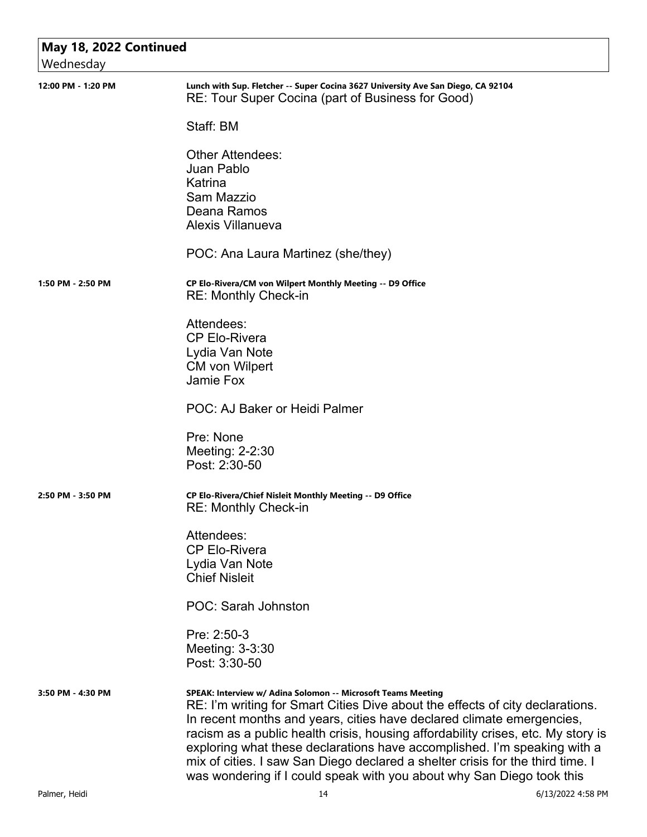| Wednesday          | May 18, 2022 Continued                                                                                                                                                                                                                                                                                                                                                                                                                                                                                                                            |  |  |
|--------------------|---------------------------------------------------------------------------------------------------------------------------------------------------------------------------------------------------------------------------------------------------------------------------------------------------------------------------------------------------------------------------------------------------------------------------------------------------------------------------------------------------------------------------------------------------|--|--|
| 12:00 PM - 1:20 PM | Lunch with Sup. Fletcher -- Super Cocina 3627 University Ave San Diego, CA 92104<br>RE: Tour Super Cocina (part of Business for Good)                                                                                                                                                                                                                                                                                                                                                                                                             |  |  |
|                    | Staff: BM                                                                                                                                                                                                                                                                                                                                                                                                                                                                                                                                         |  |  |
|                    | <b>Other Attendees:</b><br>Juan Pablo<br>Katrina<br>Sam Mazzio<br>Deana Ramos<br><b>Alexis Villanueva</b>                                                                                                                                                                                                                                                                                                                                                                                                                                         |  |  |
|                    | POC: Ana Laura Martinez (she/they)                                                                                                                                                                                                                                                                                                                                                                                                                                                                                                                |  |  |
| 1:50 PM - 2:50 PM  | CP Elo-Rivera/CM von Wilpert Monthly Meeting -- D9 Office<br><b>RE: Monthly Check-in</b>                                                                                                                                                                                                                                                                                                                                                                                                                                                          |  |  |
|                    | Attendees:<br><b>CP Elo-Rivera</b><br>Lydia Van Note<br><b>CM</b> von Wilpert<br>Jamie Fox                                                                                                                                                                                                                                                                                                                                                                                                                                                        |  |  |
|                    | POC: AJ Baker or Heidi Palmer                                                                                                                                                                                                                                                                                                                                                                                                                                                                                                                     |  |  |
|                    | Pre: None<br>Meeting: 2-2:30<br>Post: 2:30-50                                                                                                                                                                                                                                                                                                                                                                                                                                                                                                     |  |  |
| 2:50 PM - 3:50 PM  | CP Elo-Rivera/Chief Nisleit Monthly Meeting -- D9 Office<br>RE: Monthly Check-in                                                                                                                                                                                                                                                                                                                                                                                                                                                                  |  |  |
|                    | Attendees:<br><b>CP Elo-Rivera</b><br>Lydia Van Note<br><b>Chief Nisleit</b>                                                                                                                                                                                                                                                                                                                                                                                                                                                                      |  |  |
|                    | POC: Sarah Johnston                                                                                                                                                                                                                                                                                                                                                                                                                                                                                                                               |  |  |
|                    | Pre: 2:50-3<br>Meeting: 3-3:30<br>Post: 3:30-50                                                                                                                                                                                                                                                                                                                                                                                                                                                                                                   |  |  |
| 3:50 PM - 4:30 PM  | SPEAK: Interview w/ Adina Solomon -- Microsoft Teams Meeting<br>RE: I'm writing for Smart Cities Dive about the effects of city declarations.<br>In recent months and years, cities have declared climate emergencies,<br>racism as a public health crisis, housing affordability crises, etc. My story is<br>exploring what these declarations have accomplished. I'm speaking with a<br>mix of cities. I saw San Diego declared a shelter crisis for the third time. I<br>was wondering if I could speak with you about why San Diego took this |  |  |
| Palmer, Heidi      | 14<br>6/13/2022 4:58 PM                                                                                                                                                                                                                                                                                                                                                                                                                                                                                                                           |  |  |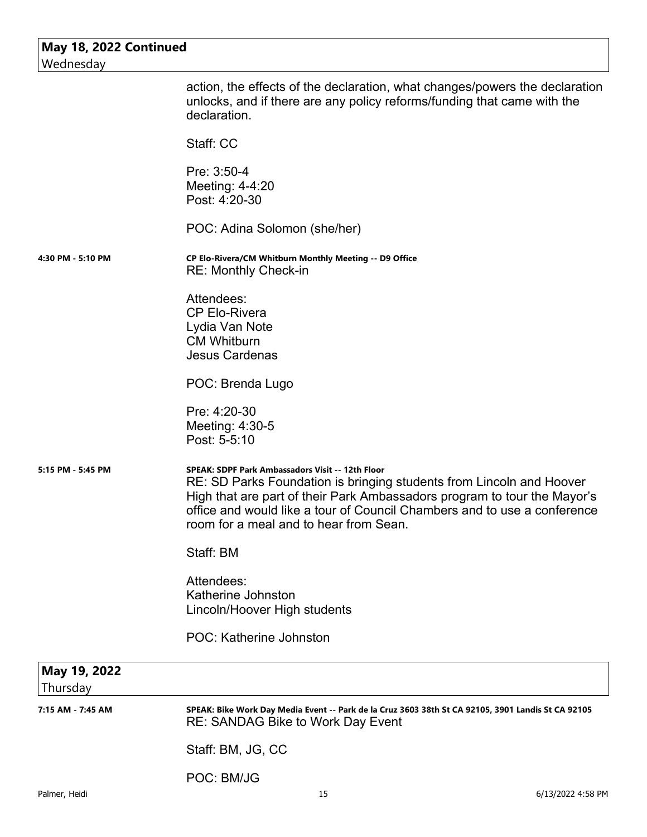| May 18, 2022 Continued<br>Wednesday |                                                                                                                                                                                                                                                                                                                            |
|-------------------------------------|----------------------------------------------------------------------------------------------------------------------------------------------------------------------------------------------------------------------------------------------------------------------------------------------------------------------------|
|                                     | action, the effects of the declaration, what changes/powers the declaration<br>unlocks, and if there are any policy reforms/funding that came with the<br>declaration.                                                                                                                                                     |
|                                     | Staff: CC                                                                                                                                                                                                                                                                                                                  |
|                                     | Pre: 3:50-4<br>Meeting: 4-4:20<br>Post: 4:20-30                                                                                                                                                                                                                                                                            |
|                                     | POC: Adina Solomon (she/her)                                                                                                                                                                                                                                                                                               |
| 4:30 PM - 5:10 PM                   | CP Elo-Rivera/CM Whitburn Monthly Meeting -- D9 Office<br><b>RE: Monthly Check-in</b>                                                                                                                                                                                                                                      |
|                                     | Attendees:<br><b>CP Elo-Rivera</b><br>Lydia Van Note<br><b>CM Whitburn</b><br><b>Jesus Cardenas</b>                                                                                                                                                                                                                        |
|                                     | POC: Brenda Lugo                                                                                                                                                                                                                                                                                                           |
|                                     | Pre: 4:20-30<br>Meeting: 4:30-5<br>Post: 5-5:10                                                                                                                                                                                                                                                                            |
| 5:15 PM - 5:45 PM                   | SPEAK: SDPF Park Ambassadors Visit -- 12th Floor<br>RE: SD Parks Foundation is bringing students from Lincoln and Hoover<br>High that are part of their Park Ambassadors program to tour the Mayor's<br>office and would like a tour of Council Chambers and to use a conference<br>room for a meal and to hear from Sean. |
|                                     | Staff: BM                                                                                                                                                                                                                                                                                                                  |
|                                     | Attendees:<br>Katherine Johnston<br>Lincoln/Hoover High students                                                                                                                                                                                                                                                           |
|                                     | POC: Katherine Johnston                                                                                                                                                                                                                                                                                                    |
| May 19, 2022<br>Thursday            |                                                                                                                                                                                                                                                                                                                            |
| 7:15 AM - 7:45 AM                   | SPEAK: Bike Work Day Media Event -- Park de la Cruz 3603 38th St CA 92105, 3901 Landis St CA 92105<br>RE: SANDAG Bike to Work Day Event                                                                                                                                                                                    |
|                                     | Staff: BM, JG, CC                                                                                                                                                                                                                                                                                                          |
|                                     | POC: BM/JG                                                                                                                                                                                                                                                                                                                 |
| Palmer, Heidi                       | 15<br>6/13/2022 4:58 PM                                                                                                                                                                                                                                                                                                    |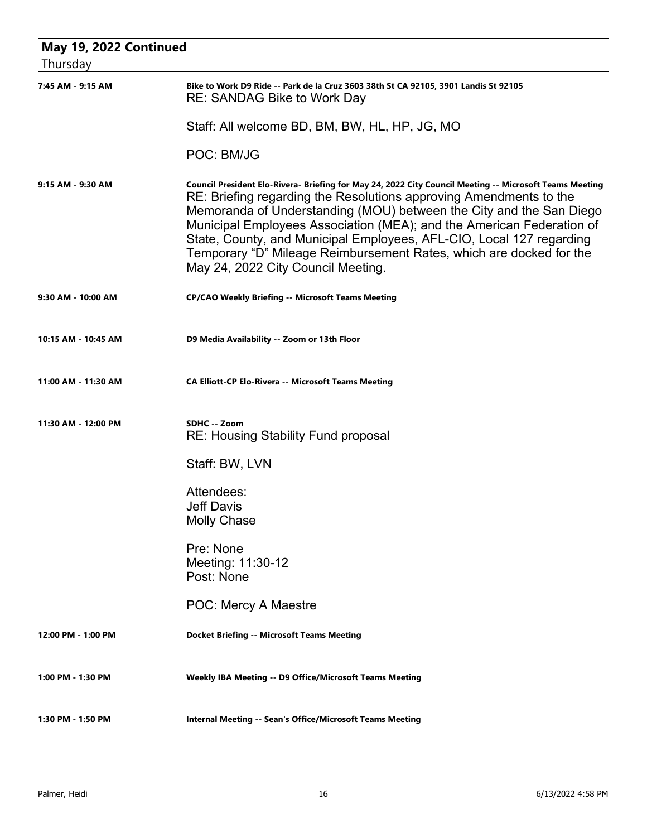| May 19, 2022 Continued |                                                                                                                                                                                                                                                                                                                                                                                                                                                                                                                    |
|------------------------|--------------------------------------------------------------------------------------------------------------------------------------------------------------------------------------------------------------------------------------------------------------------------------------------------------------------------------------------------------------------------------------------------------------------------------------------------------------------------------------------------------------------|
| Thursday               |                                                                                                                                                                                                                                                                                                                                                                                                                                                                                                                    |
| 7:45 AM - 9:15 AM      | Bike to Work D9 Ride -- Park de la Cruz 3603 38th St CA 92105, 3901 Landis St 92105<br><b>RE: SANDAG Bike to Work Day</b>                                                                                                                                                                                                                                                                                                                                                                                          |
|                        | Staff: All welcome BD, BM, BW, HL, HP, JG, MO                                                                                                                                                                                                                                                                                                                                                                                                                                                                      |
|                        | POC: BM/JG                                                                                                                                                                                                                                                                                                                                                                                                                                                                                                         |
| 9:15 AM - 9:30 AM      | Council President Elo-Rivera- Briefing for May 24, 2022 City Council Meeting -- Microsoft Teams Meeting<br>RE: Briefing regarding the Resolutions approving Amendments to the<br>Memoranda of Understanding (MOU) between the City and the San Diego<br>Municipal Employees Association (MEA); and the American Federation of<br>State, County, and Municipal Employees, AFL-CIO, Local 127 regarding<br>Temporary "D" Mileage Reimbursement Rates, which are docked for the<br>May 24, 2022 City Council Meeting. |
| 9:30 AM - 10:00 AM     | <b>CP/CAO Weekly Briefing -- Microsoft Teams Meeting</b>                                                                                                                                                                                                                                                                                                                                                                                                                                                           |
| 10:15 AM - 10:45 AM    | D9 Media Availability -- Zoom or 13th Floor                                                                                                                                                                                                                                                                                                                                                                                                                                                                        |
| 11:00 AM - 11:30 AM    | <b>CA Elliott-CP Elo-Rivera -- Microsoft Teams Meeting</b>                                                                                                                                                                                                                                                                                                                                                                                                                                                         |
| 11:30 AM - 12:00 PM    | SDHC -- Zoom<br><b>RE: Housing Stability Fund proposal</b>                                                                                                                                                                                                                                                                                                                                                                                                                                                         |
|                        | Staff: BW, LVN                                                                                                                                                                                                                                                                                                                                                                                                                                                                                                     |
|                        | Attendees:<br><b>Jeff Davis</b><br><b>Molly Chase</b>                                                                                                                                                                                                                                                                                                                                                                                                                                                              |
|                        | Pre: None<br>Meeting: 11:30-12<br>Post: None                                                                                                                                                                                                                                                                                                                                                                                                                                                                       |
|                        | <b>POC: Mercy A Maestre</b>                                                                                                                                                                                                                                                                                                                                                                                                                                                                                        |
| 12:00 PM - 1:00 PM     | <b>Docket Briefing -- Microsoft Teams Meeting</b>                                                                                                                                                                                                                                                                                                                                                                                                                                                                  |
| 1:00 PM - 1:30 PM      | Weekly IBA Meeting -- D9 Office/Microsoft Teams Meeting                                                                                                                                                                                                                                                                                                                                                                                                                                                            |
| 1:30 PM - 1:50 PM      | <b>Internal Meeting -- Sean's Office/Microsoft Teams Meeting</b>                                                                                                                                                                                                                                                                                                                                                                                                                                                   |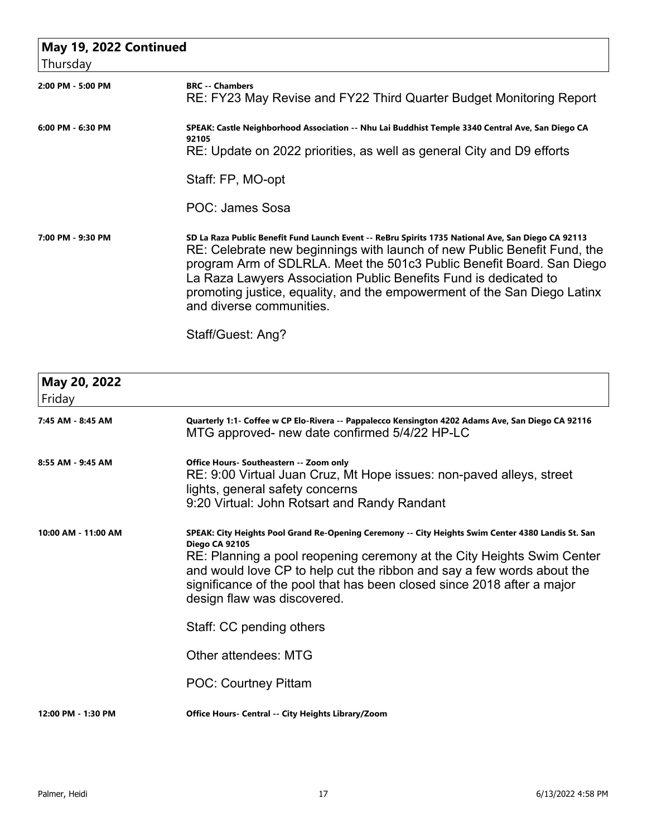| May 19, 2022 Continued |                                                                                                                                                                                                                                                                                                                                                                                                                                                          |
|------------------------|----------------------------------------------------------------------------------------------------------------------------------------------------------------------------------------------------------------------------------------------------------------------------------------------------------------------------------------------------------------------------------------------------------------------------------------------------------|
| Thursday               |                                                                                                                                                                                                                                                                                                                                                                                                                                                          |
| 2:00 PM - 5:00 PM      | <b>BRC</b> -- Chambers<br>RE: FY23 May Revise and FY22 Third Quarter Budget Monitoring Report                                                                                                                                                                                                                                                                                                                                                            |
| 6:00 PM - 6:30 PM      | SPEAK: Castle Neighborhood Association -- Nhu Lai Buddhist Temple 3340 Central Ave, San Diego CA<br>92105<br>RE: Update on 2022 priorities, as well as general City and D9 efforts<br>Staff: FP, MO-opt<br>POC: James Sosa                                                                                                                                                                                                                               |
| 7:00 PM - 9:30 PM      | SD La Raza Public Benefit Fund Launch Event -- ReBru Spirits 1735 National Ave, San Diego CA 92113<br>RE: Celebrate new beginnings with launch of new Public Benefit Fund, the<br>program Arm of SDLRLA. Meet the 501c3 Public Benefit Board. San Diego<br>La Raza Lawyers Association Public Benefits Fund is dedicated to<br>promoting justice, equality, and the empowerment of the San Diego Latinx<br>and diverse communities.<br>Staff/Guest: Ang? |
| May 20, 2022           |                                                                                                                                                                                                                                                                                                                                                                                                                                                          |

| Friday              |                                                                                                                                                                                                                                                                                                                                                                                          |
|---------------------|------------------------------------------------------------------------------------------------------------------------------------------------------------------------------------------------------------------------------------------------------------------------------------------------------------------------------------------------------------------------------------------|
| 7:45 AM - 8:45 AM   | Quarterly 1:1- Coffee w CP Elo-Rivera -- Pappalecco Kensington 4202 Adams Ave, San Diego CA 92116<br>MTG approved- new date confirmed 5/4/22 HP-LC                                                                                                                                                                                                                                       |
| 8:55 AM - 9:45 AM   | Office Hours- Southeastern -- Zoom only<br>RE: 9:00 Virtual Juan Cruz, Mt Hope issues: non-paved alleys, street<br>lights, general safety concerns<br>9:20 Virtual: John Rotsart and Randy Randant                                                                                                                                                                                       |
| 10:00 AM - 11:00 AM | SPEAK: City Heights Pool Grand Re-Opening Ceremony -- City Heights Swim Center 4380 Landis St. San<br><b>Diego CA 92105</b><br>RE: Planning a pool reopening ceremony at the City Heights Swim Center<br>and would love CP to help cut the ribbon and say a few words about the<br>significance of the pool that has been closed since 2018 after a major<br>design flaw was discovered. |
|                     | Staff: CC pending others                                                                                                                                                                                                                                                                                                                                                                 |
|                     | Other attendees: MTG                                                                                                                                                                                                                                                                                                                                                                     |
|                     | <b>POC: Courtney Pittam</b>                                                                                                                                                                                                                                                                                                                                                              |
| 12:00 PM - 1:30 PM  | Office Hours- Central -- City Heights Library/Zoom                                                                                                                                                                                                                                                                                                                                       |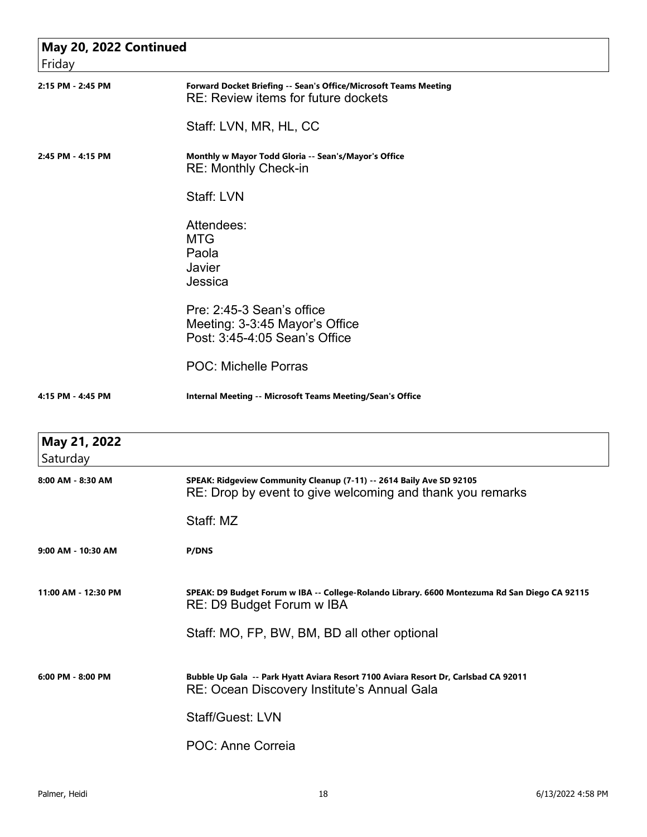| May 20, 2022 Continued   |                                                                                                                                    |
|--------------------------|------------------------------------------------------------------------------------------------------------------------------------|
| Friday                   |                                                                                                                                    |
| 2:15 PM - 2:45 PM        | Forward Docket Briefing -- Sean's Office/Microsoft Teams Meeting<br>RE: Review items for future dockets                            |
|                          | Staff: LVN, MR, HL, CC                                                                                                             |
| 2:45 PM - 4:15 PM        | Monthly w Mayor Todd Gloria -- Sean's/Mayor's Office<br><b>RE: Monthly Check-in</b>                                                |
|                          | Staff: LVN                                                                                                                         |
|                          | Attendees:<br><b>MTG</b><br>Paola<br>Javier<br>Jessica                                                                             |
|                          | Pre: 2:45-3 Sean's office<br>Meeting: 3-3:45 Mayor's Office<br>Post: 3:45-4:05 Sean's Office                                       |
|                          | <b>POC: Michelle Porras</b>                                                                                                        |
| 4:15 PM - 4:45 PM        | <b>Internal Meeting -- Microsoft Teams Meeting/Sean's Office</b>                                                                   |
| May 21, 2022<br>Saturday |                                                                                                                                    |
| 8:00 AM - 8:30 AM        | SPEAK: Ridgeview Community Cleanup (7-11) -- 2614 Baily Ave SD 92105<br>RE: Drop by event to give welcoming and thank you remarks  |
|                          | Staff: MZ                                                                                                                          |
| 9:00 AM - 10:30 AM       | <b>P/DNS</b>                                                                                                                       |
| 11:00 AM - 12:30 PM      | SPEAK: D9 Budget Forum w IBA -- College-Rolando Library. 6600 Montezuma Rd San Diego CA 92115<br>RE: D9 Budget Forum w IBA         |
|                          | Staff: MO, FP, BW, BM, BD all other optional                                                                                       |
| $6:00$ PM - $8:00$ PM    | Bubble Up Gala -- Park Hyatt Aviara Resort 7100 Aviara Resort Dr, Carlsbad CA 92011<br>RE: Ocean Discovery Institute's Annual Gala |
|                          | <b>Staff/Guest: LVN</b>                                                                                                            |
|                          | POC: Anne Correia                                                                                                                  |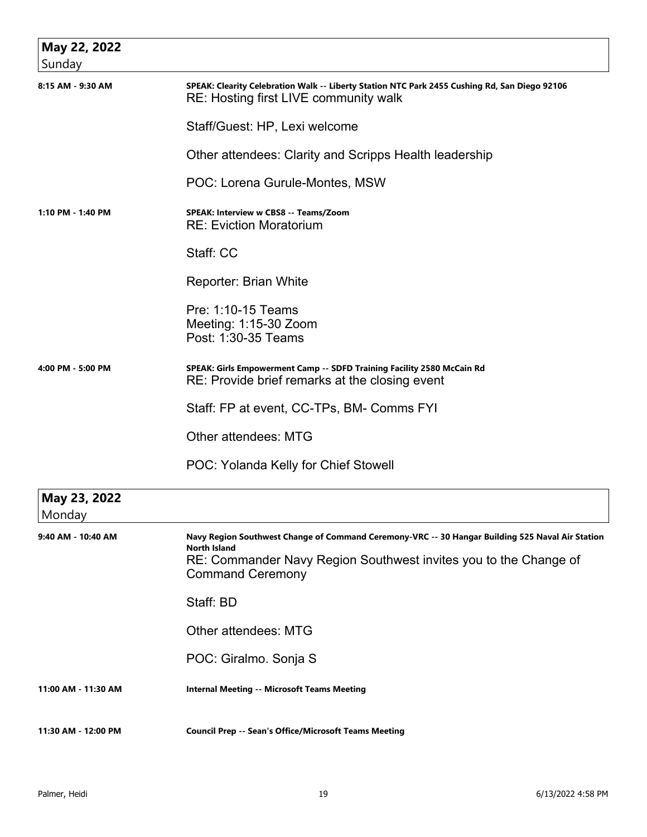| May 22, 2022<br>Sunday |                                                                                                                                        |
|------------------------|----------------------------------------------------------------------------------------------------------------------------------------|
| 8:15 AM - 9:30 AM      | SPEAK: Clearity Celebration Walk -- Liberty Station NTC Park 2455 Cushing Rd, San Diego 92106<br>RE: Hosting first LIVE community walk |
|                        | Staff/Guest: HP, Lexi welcome                                                                                                          |
|                        | Other attendees: Clarity and Scripps Health leadership                                                                                 |
|                        | POC: Lorena Gurule-Montes, MSW                                                                                                         |
| 1:10 PM - 1:40 PM      | SPEAK: Interview w CBS8 -- Teams/Zoom<br><b>RE: Eviction Moratorium</b>                                                                |
|                        | Staff: CC                                                                                                                              |
|                        | Reporter: Brian White                                                                                                                  |
|                        | Pre: 1:10-15 Teams<br>Meeting: 1:15-30 Zoom<br>Post: 1:30-35 Teams                                                                     |
| 4:00 PM - 5:00 PM      | SPEAK: Girls Empowerment Camp -- SDFD Training Facility 2580 McCain Rd<br>RE: Provide brief remarks at the closing event               |
|                        | Staff: FP at event, CC-TPs, BM- Comms FYI                                                                                              |
|                        | <b>Other attendees: MTG</b>                                                                                                            |
|                        | <b>POC: Yolanda Kelly for Chief Stowell</b>                                                                                            |
| May 23, 2022<br>Monday |                                                                                                                                        |
| 9:40 AM - 10:40 AM     | Navy Region Southwest Change of Command Ceremony-VRC -- 30 Hangar Building 525 Naval Air Station                                       |
|                        | North Island<br>RE: Commander Navy Region Southwest invites you to the Change of<br><b>Command Ceremony</b>                            |
|                        | Staff: BD                                                                                                                              |
|                        | Other attendees: MTG                                                                                                                   |
|                        | POC: Giralmo. Sonja S                                                                                                                  |
| 11:00 AM - 11:30 AM    | <b>Internal Meeting -- Microsoft Teams Meeting</b>                                                                                     |
| 11:30 AM - 12:00 PM    | <b>Council Prep -- Sean's Office/Microsoft Teams Meeting</b>                                                                           |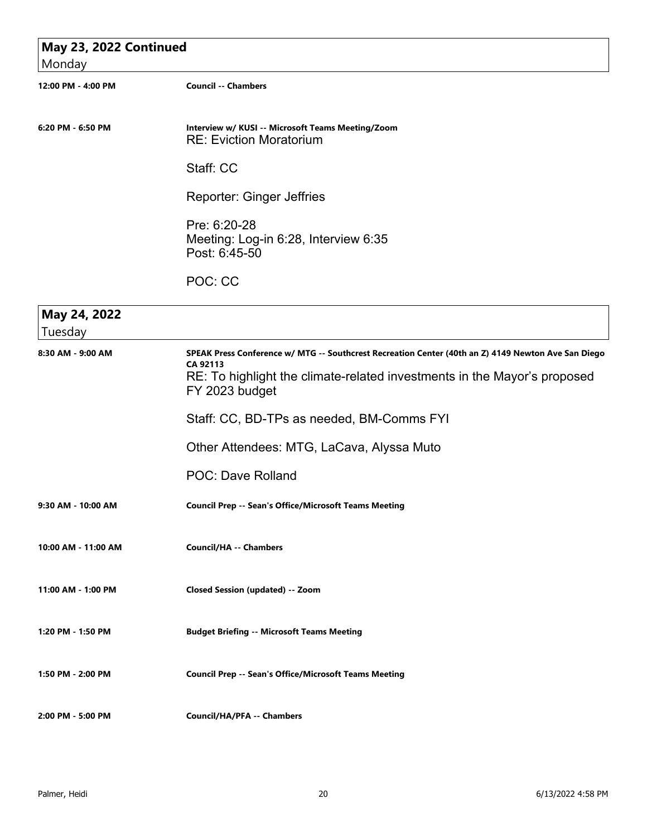| May 23, 2022 Continued  |                                                                                                                                                                                                               |  |
|-------------------------|---------------------------------------------------------------------------------------------------------------------------------------------------------------------------------------------------------------|--|
| Monday                  |                                                                                                                                                                                                               |  |
| 12:00 PM - 4:00 PM      | <b>Council -- Chambers</b>                                                                                                                                                                                    |  |
|                         |                                                                                                                                                                                                               |  |
| 6:20 PM - 6:50 PM       | Interview w/ KUSI -- Microsoft Teams Meeting/Zoom<br><b>RE: Eviction Moratorium</b>                                                                                                                           |  |
|                         | Staff: CC                                                                                                                                                                                                     |  |
|                         | <b>Reporter: Ginger Jeffries</b>                                                                                                                                                                              |  |
|                         | Pre: 6:20-28<br>Meeting: Log-in 6:28, Interview 6:35<br>Post: 6:45-50                                                                                                                                         |  |
|                         | POC: CC                                                                                                                                                                                                       |  |
| May 24, 2022<br>Tuesday |                                                                                                                                                                                                               |  |
| 8:30 AM - 9:00 AM       | SPEAK Press Conference w/ MTG -- Southcrest Recreation Center (40th an Z) 4149 Newton Ave San Diego<br>CA 92113<br>RE: To highlight the climate-related investments in the Mayor's proposed<br>FY 2023 budget |  |
|                         | Staff: CC, BD-TPs as needed, BM-Comms FYI                                                                                                                                                                     |  |
|                         | Other Attendees: MTG, LaCava, Alyssa Muto                                                                                                                                                                     |  |
|                         | <b>POC: Dave Rolland</b>                                                                                                                                                                                      |  |
| 9:30 AM - 10:00 AM      | <b>Council Prep -- Sean's Office/Microsoft Teams Meeting</b>                                                                                                                                                  |  |
| 10:00 AM - 11:00 AM     | <b>Council/HA -- Chambers</b>                                                                                                                                                                                 |  |
| 11:00 AM - 1:00 PM      | <b>Closed Session (updated) -- Zoom</b>                                                                                                                                                                       |  |
| 1:20 PM - 1:50 PM       | <b>Budget Briefing -- Microsoft Teams Meeting</b>                                                                                                                                                             |  |
| 1:50 PM - 2:00 PM       | <b>Council Prep -- Sean's Office/Microsoft Teams Meeting</b>                                                                                                                                                  |  |
| 2:00 PM - 5:00 PM       | <b>Council/HA/PFA -- Chambers</b>                                                                                                                                                                             |  |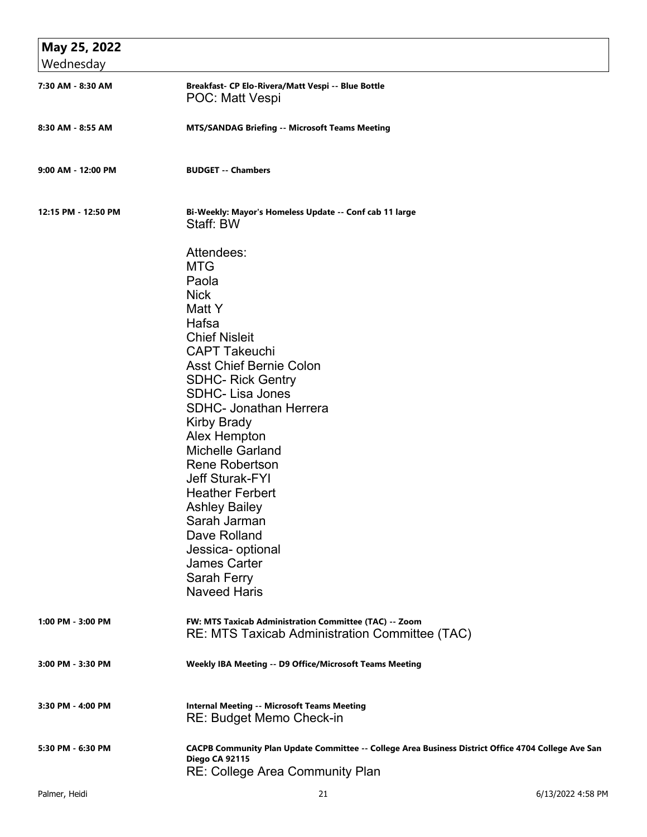| May 25, 2022        |                                                                                                                                                                                                                                                                                                                                                                                                                                                                                                                               |
|---------------------|-------------------------------------------------------------------------------------------------------------------------------------------------------------------------------------------------------------------------------------------------------------------------------------------------------------------------------------------------------------------------------------------------------------------------------------------------------------------------------------------------------------------------------|
| Wednesday           |                                                                                                                                                                                                                                                                                                                                                                                                                                                                                                                               |
| 7:30 AM - 8:30 AM   | Breakfast- CP Elo-Rivera/Matt Vespi -- Blue Bottle<br>POC: Matt Vespi                                                                                                                                                                                                                                                                                                                                                                                                                                                         |
| 8:30 AM - 8:55 AM   | <b>MTS/SANDAG Briefing -- Microsoft Teams Meeting</b>                                                                                                                                                                                                                                                                                                                                                                                                                                                                         |
| 9:00 AM - 12:00 PM  | <b>BUDGET -- Chambers</b>                                                                                                                                                                                                                                                                                                                                                                                                                                                                                                     |
| 12:15 PM - 12:50 PM | Bi-Weekly: Mayor's Homeless Update -- Conf cab 11 large<br>Staff: BW                                                                                                                                                                                                                                                                                                                                                                                                                                                          |
|                     | Attendees:<br><b>MTG</b><br>Paola<br><b>Nick</b><br>Matt Y<br>Hafsa<br><b>Chief Nisleit</b><br><b>CAPT Takeuchi</b><br><b>Asst Chief Bernie Colon</b><br><b>SDHC- Rick Gentry</b><br><b>SDHC-Lisa Jones</b><br><b>SDHC- Jonathan Herrera</b><br>Kirby Brady<br>Alex Hempton<br><b>Michelle Garland</b><br><b>Rene Robertson</b><br><b>Jeff Sturak-FYI</b><br><b>Heather Ferbert</b><br><b>Ashley Bailey</b><br>Sarah Jarman<br>Dave Rolland<br>Jessica- optional<br><b>James Carter</b><br>Sarah Ferry<br><b>Naveed Haris</b> |
| 1:00 PM - 3:00 PM   | FW: MTS Taxicab Administration Committee (TAC) -- Zoom<br>RE: MTS Taxicab Administration Committee (TAC)                                                                                                                                                                                                                                                                                                                                                                                                                      |
| 3:00 PM - 3:30 PM   | Weekly IBA Meeting -- D9 Office/Microsoft Teams Meeting                                                                                                                                                                                                                                                                                                                                                                                                                                                                       |
| 3:30 PM - 4:00 PM   | <b>Internal Meeting -- Microsoft Teams Meeting</b><br>RE: Budget Memo Check-in                                                                                                                                                                                                                                                                                                                                                                                                                                                |
| 5:30 PM - 6:30 PM   | CACPB Community Plan Update Committee -- College Area Business District Office 4704 College Ave San<br>Diego CA 92115<br><b>RE: College Area Community Plan</b>                                                                                                                                                                                                                                                                                                                                                               |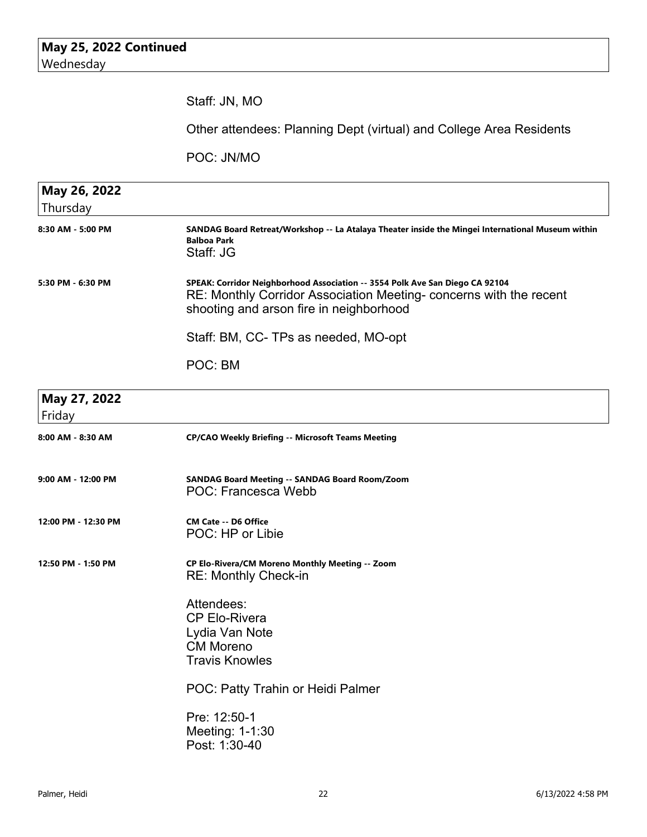|                          | Staff: JN, MO                                                                                                                                                                                |
|--------------------------|----------------------------------------------------------------------------------------------------------------------------------------------------------------------------------------------|
|                          | Other attendees: Planning Dept (virtual) and College Area Residents                                                                                                                          |
|                          | POC: JN/MO                                                                                                                                                                                   |
| May 26, 2022<br>Thursday |                                                                                                                                                                                              |
| 8:30 AM - 5:00 PM        | SANDAG Board Retreat/Workshop -- La Atalaya Theater inside the Mingei International Museum within<br><b>Balboa Park</b><br>Staff: JG                                                         |
| 5:30 PM - 6:30 PM        | SPEAK: Corridor Neighborhood Association -- 3554 Polk Ave San Diego CA 92104<br>RE: Monthly Corridor Association Meeting-concerns with the recent<br>shooting and arson fire in neighborhood |
|                          | Staff: BM, CC- TPs as needed, MO-opt                                                                                                                                                         |
|                          | POC: BM                                                                                                                                                                                      |
| May 27, 2022<br>Friday   |                                                                                                                                                                                              |
| 8:00 AM - 8:30 AM        | <b>CP/CAO Weekly Briefing -- Microsoft Teams Meeting</b>                                                                                                                                     |
| 9:00 AM - 12:00 PM       | SANDAG Board Meeting -- SANDAG Board Room/Zoom<br><b>POC: Francesca Webb</b>                                                                                                                 |
| 12:00 PM - 12:30 PM      | <b>CM Cate -- D6 Office</b><br>POC: HP or Libie                                                                                                                                              |
| 12:50 PM - 1:50 PM       | CP Elo-Rivera/CM Moreno Monthly Meeting -- Zoom<br><b>RE: Monthly Check-in</b>                                                                                                               |
|                          | Attendees:<br><b>CP Elo-Rivera</b><br>Lydia Van Note<br><b>CM Moreno</b><br><b>Travis Knowles</b>                                                                                            |
|                          | POC: Patty Trahin or Heidi Palmer                                                                                                                                                            |
|                          | Pre: 12:50-1<br>Meeting: 1-1:30<br>Post: 1:30-40                                                                                                                                             |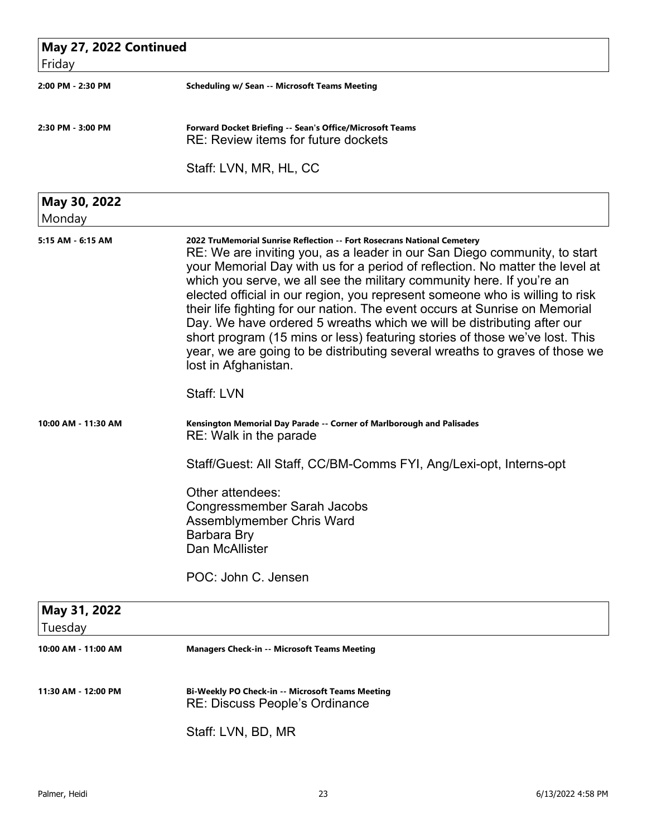| May 27, 2022 Continued<br>Friday |                                                                                                                                                                                                                                                                                                                                                                                                                                                                                                                                                                                                                                                                                                                                              |
|----------------------------------|----------------------------------------------------------------------------------------------------------------------------------------------------------------------------------------------------------------------------------------------------------------------------------------------------------------------------------------------------------------------------------------------------------------------------------------------------------------------------------------------------------------------------------------------------------------------------------------------------------------------------------------------------------------------------------------------------------------------------------------------|
| 2:00 PM - 2:30 PM                | <b>Scheduling w/ Sean -- Microsoft Teams Meeting</b>                                                                                                                                                                                                                                                                                                                                                                                                                                                                                                                                                                                                                                                                                         |
| 2:30 PM - 3:00 PM                | Forward Docket Briefing -- Sean's Office/Microsoft Teams<br>RE: Review items for future dockets                                                                                                                                                                                                                                                                                                                                                                                                                                                                                                                                                                                                                                              |
|                                  | Staff: LVN, MR, HL, CC                                                                                                                                                                                                                                                                                                                                                                                                                                                                                                                                                                                                                                                                                                                       |
| May 30, 2022<br>Monday           |                                                                                                                                                                                                                                                                                                                                                                                                                                                                                                                                                                                                                                                                                                                                              |
| 5:15 AM - 6:15 AM                | 2022 TruMemorial Sunrise Reflection -- Fort Rosecrans National Cemetery<br>RE: We are inviting you, as a leader in our San Diego community, to start<br>your Memorial Day with us for a period of reflection. No matter the level at<br>which you serve, we all see the military community here. If you're an<br>elected official in our region, you represent someone who is willing to risk<br>their life fighting for our nation. The event occurs at Sunrise on Memorial<br>Day. We have ordered 5 wreaths which we will be distributing after our<br>short program (15 mins or less) featuring stories of those we've lost. This<br>year, we are going to be distributing several wreaths to graves of those we<br>lost in Afghanistan. |
|                                  | Staff: LVN                                                                                                                                                                                                                                                                                                                                                                                                                                                                                                                                                                                                                                                                                                                                   |
| 10:00 AM - 11:30 AM              | Kensington Memorial Day Parade -- Corner of Marlborough and Palisades<br>RE: Walk in the parade                                                                                                                                                                                                                                                                                                                                                                                                                                                                                                                                                                                                                                              |
|                                  | Staff/Guest: All Staff, CC/BM-Comms FYI, Ang/Lexi-opt, Interns-opt                                                                                                                                                                                                                                                                                                                                                                                                                                                                                                                                                                                                                                                                           |
|                                  | Other attendees:<br>Congressmember Sarah Jacobs<br>Assemblymember Chris Ward<br>Barbara Bry<br>Dan McAllister                                                                                                                                                                                                                                                                                                                                                                                                                                                                                                                                                                                                                                |
|                                  | POC: John C. Jensen                                                                                                                                                                                                                                                                                                                                                                                                                                                                                                                                                                                                                                                                                                                          |
| May 31, 2022<br>Tuesday          |                                                                                                                                                                                                                                                                                                                                                                                                                                                                                                                                                                                                                                                                                                                                              |
| 10:00 AM - 11:00 AM              | <b>Managers Check-in -- Microsoft Teams Meeting</b>                                                                                                                                                                                                                                                                                                                                                                                                                                                                                                                                                                                                                                                                                          |
| 11:30 AM - 12:00 PM              | Bi-Weekly PO Check-in -- Microsoft Teams Meeting<br>RE: Discuss People's Ordinance                                                                                                                                                                                                                                                                                                                                                                                                                                                                                                                                                                                                                                                           |
|                                  | Staff: LVN, BD, MR                                                                                                                                                                                                                                                                                                                                                                                                                                                                                                                                                                                                                                                                                                                           |